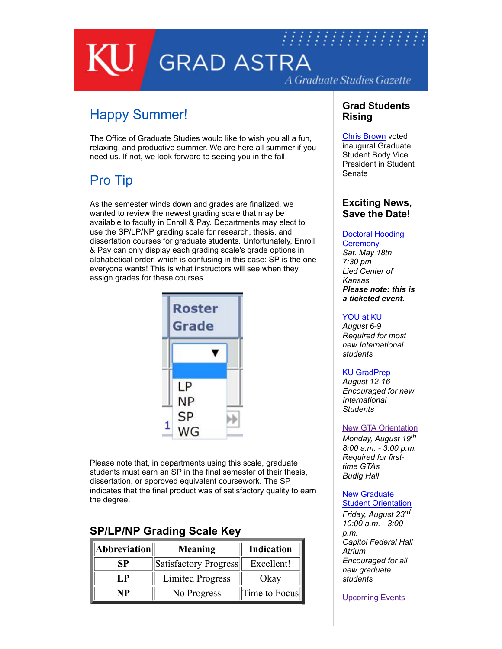# 7777777777777777777777777 **GRAD ASTRA** A Graduate Studies Gazette

## Happy Summer!

The Office of Graduate Studies would like to wish you all a fun, relaxing, and productive summer. We are here all summer if you need us. If not, we look forward to seeing you in the fall.

## Pro Tip

As the semester winds down and grades are finalized, we wanted to review the newest grading scale that may be available to faculty in Enroll & Pay. Departments may elect to use the SP/LP/NP grading scale for research, thesis, and dissertation courses for graduate students. Unfortunately, Enroll & Pay can only display each grading scale's grade options in alphabetical order, which is confusing in this case: SP is the one everyone wants! This is what instructors will see when they assign grades for these courses.



Please note that, in departments using this scale, graduate students must earn an SP in the final semester of their thesis, dissertation, or approved equivalent coursework. The SP indicates that the final product was of satisfactory quality to earn the degree.

### **SP/LP/NP Grading Scale Key**

| Abbreviation | Meaning                 | <b>Indication</b> |
|--------------|-------------------------|-------------------|
| SP           | Satisfactory Progress   | Excellent!        |
| I .P         | <b>Limited Progress</b> | Okay              |
| NP           | No Progress             | Time to Focus     |

#### **Grad Students Rising**

[Chris Brown](https://medium.com/sportmgmtku/doctoral-student-chris-brown-named-ku-graduate-student-vice-president-3b0b5a6c6cbb) voted inaugural Graduate Student Body Vice President in Student Senate

#### **Exciting News, Save the Date!**

#### [Doctoral Hooding](https://graduate.ku.edu/doctoral-hooding-ceremony)

**Ceremony** *Sat. May 18th 7:30 pm Lied Center of Kansas Please note: this is a ticketed event.* 

#### [YOU at KU](https://iss.ku.edu/newly-admitted-orientation)

*August 6-9 Required for most new International students* 

#### [KU GradPrep](http://aec.ku.edu/grad-prep-2019)

*August 12-16 Encouraged for new International Students* 

#### [New GTA Orientation](https://graduate.ku.edu/gta-gra-ga)

*Monday, August 19th 8:00 a.m. - 3:00 p.m. Required for firsttime GTAs Budig Hall* 

#### **New Graduate [Student Orientation](https://graduate.ku.edu/orientation)**

*Friday, August 23rd 10:00 a.m. - 3:00 p.m. Capitol Federal Hall Atrium Encouraged for all new graduate students* 

**[Upcoming Events](https://graduate.ku.edu/upcoming-events)**